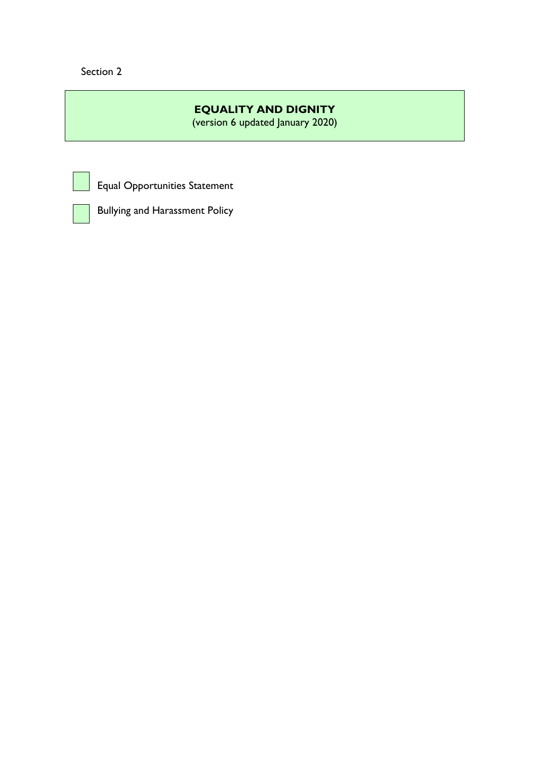Section 2

# **EQUALITY AND DIGNITY**

(version 6 updated January 2020)



Equal Opportunities Statement



Bullying and Harassment Policy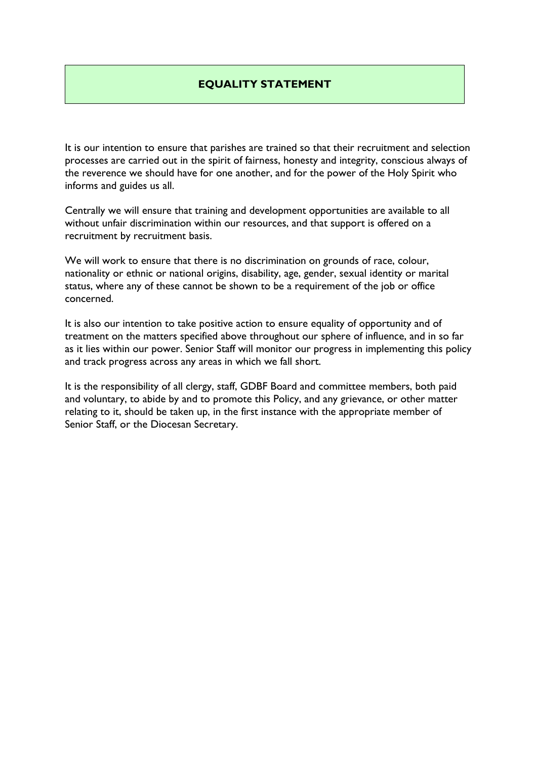# **EQUALITY STATEMENT**

It is our intention to ensure that parishes are trained so that their recruitment and selection processes are carried out in the spirit of fairness, honesty and integrity, conscious always of the reverence we should have for one another, and for the power of the Holy Spirit who informs and guides us all.

Centrally we will ensure that training and development opportunities are available to all without unfair discrimination within our resources, and that support is offered on a recruitment by recruitment basis.

We will work to ensure that there is no discrimination on grounds of race, colour, nationality or ethnic or national origins, disability, age, gender, sexual identity or marital status, where any of these cannot be shown to be a requirement of the job or office concerned.

It is also our intention to take positive action to ensure equality of opportunity and of treatment on the matters specified above throughout our sphere of influence, and in so far as it lies within our power. Senior Staff will monitor our progress in implementing this policy and track progress across any areas in which we fall short.

It is the responsibility of all clergy, staff, GDBF Board and committee members, both paid and voluntary, to abide by and to promote this Policy, and any grievance, or other matter relating to it, should be taken up, in the first instance with the appropriate member of Senior Staff, or the Diocesan Secretary.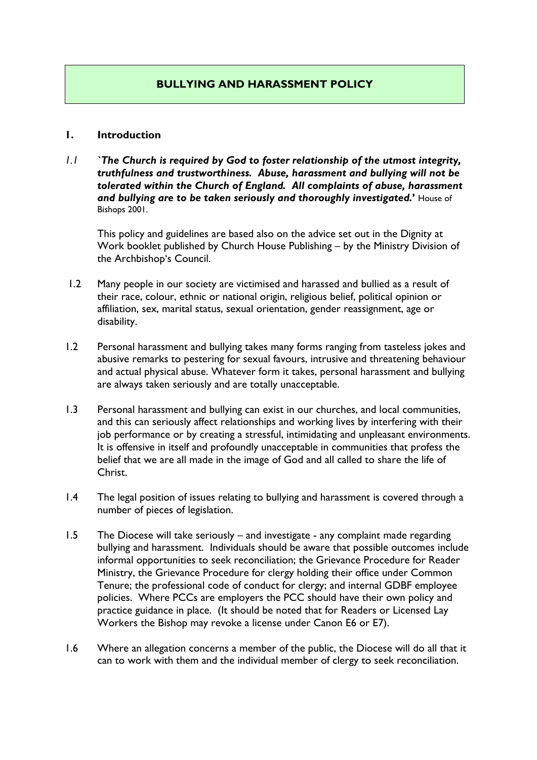# **BULLYING AND HARASSMENT POLICY**

#### **1. Introduction**

*1.1 `The Church is required by God to foster relationship of the utmost integrity, truthfulness and trustworthiness. Abuse, harassment and bullying will not be tolerated within the Church of England. All complaints of abuse, harassment and bullying are to be taken seriously and thoroughly investigated.***'** House of Bishops 2001.

 This policy and guidelines are based also on the advice set out in the Dignity at Work booklet published by Church House Publishing – by the Ministry Division of the Archbishop's Council.

- 1.2 Many people in our society are victimised and harassed and bullied as a result of their race, colour, ethnic or national origin, religious belief, political opinion or affiliation, sex, marital status, sexual orientation, gender reassignment, age or disability.
- 1.2 Personal harassment and bullying takes many forms ranging from tasteless jokes and abusive remarks to pestering for sexual favours, intrusive and threatening behaviour and actual physical abuse. Whatever form it takes, personal harassment and bullying are always taken seriously and are totally unacceptable.
- 1.3 Personal harassment and bullying can exist in our churches, and local communities, and this can seriously affect relationships and working lives by interfering with their job performance or by creating a stressful, intimidating and unpleasant environments. It is offensive in itself and profoundly unacceptable in communities that profess the belief that we are all made in the image of God and all called to share the life of Christ.
- 1.4 The legal position of issues relating to bullying and harassment is covered through a number of pieces of legislation.
- 1.5 The Diocese will take seriously and investigate any complaint made regarding bullying and harassment. Individuals should be aware that possible outcomes include informal opportunities to seek reconciliation; the Grievance Procedure for Reader Ministry, the Grievance Procedure for clergy holding their office under Common Tenure; the professional code of conduct for clergy; and internal GDBF employee policies. Where PCCs are employers the PCC should have their own policy and practice guidance in place. (It should be noted that for Readers or Licensed Lay Workers the Bishop may revoke a license under Canon E6 or E7).
- 1.6 Where an allegation concerns a member of the public, the Diocese will do all that it can to work with them and the individual member of clergy to seek reconciliation.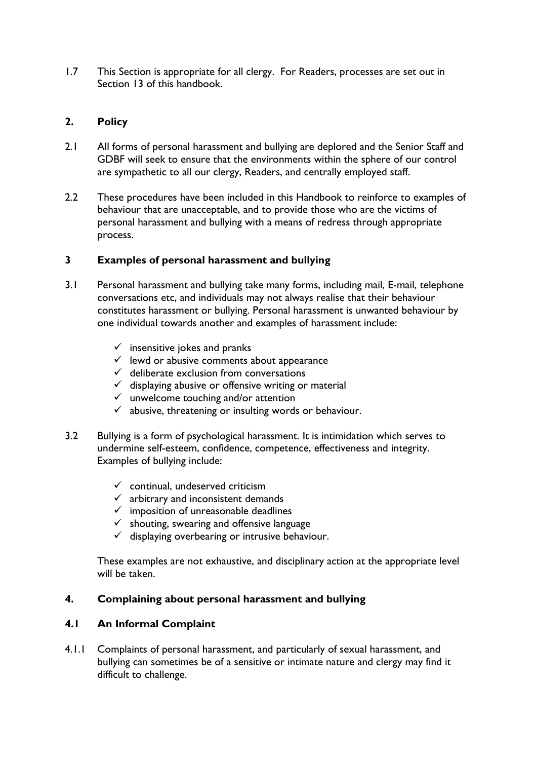1.7 This Section is appropriate for all clergy. For Readers, processes are set out in Section 13 of this handbook.

## **2. Policy**

- 2.1 All forms of personal harassment and bullying are deplored and the Senior Staff and GDBF will seek to ensure that the environments within the sphere of our control are sympathetic to all our clergy, Readers, and centrally employed staff.
- 2.2 These procedures have been included in this Handbook to reinforce to examples of behaviour that are unacceptable, and to provide those who are the victims of personal harassment and bullying with a means of redress through appropriate process.

## **3 Examples of personal harassment and bullying**

- 3.1 Personal harassment and bullying take many forms, including mail, E-mail, telephone conversations etc, and individuals may not always realise that their behaviour constitutes harassment or bullying. Personal harassment is unwanted behaviour by one individual towards another and examples of harassment include:
	- $\checkmark$  insensitive jokes and pranks
	- $\checkmark$  lewd or abusive comments about appearance
	- $\checkmark$  deliberate exclusion from conversations
	- $\checkmark$  displaying abusive or offensive writing or material
	- $\checkmark$  unwelcome touching and/or attention
	- $\checkmark$  abusive, threatening or insulting words or behaviour.
- 3.2 Bullying is a form of psychological harassment. It is intimidation which serves to undermine self-esteem, confidence, competence, effectiveness and integrity. Examples of bullying include:
	- $\checkmark$  continual, undeserved criticism
	- $\checkmark$  arbitrary and inconsistent demands
	- $\checkmark$  imposition of unreasonable deadlines
	- $\checkmark$  shouting, swearing and offensive language
	- $\checkmark$  displaying overbearing or intrusive behaviour.

These examples are not exhaustive, and disciplinary action at the appropriate level will be taken.

## **4. Complaining about personal harassment and bullying**

## **4.1 An Informal Complaint**

4.1.1 Complaints of personal harassment, and particularly of sexual harassment, and bullying can sometimes be of a sensitive or intimate nature and clergy may find it difficult to challenge.